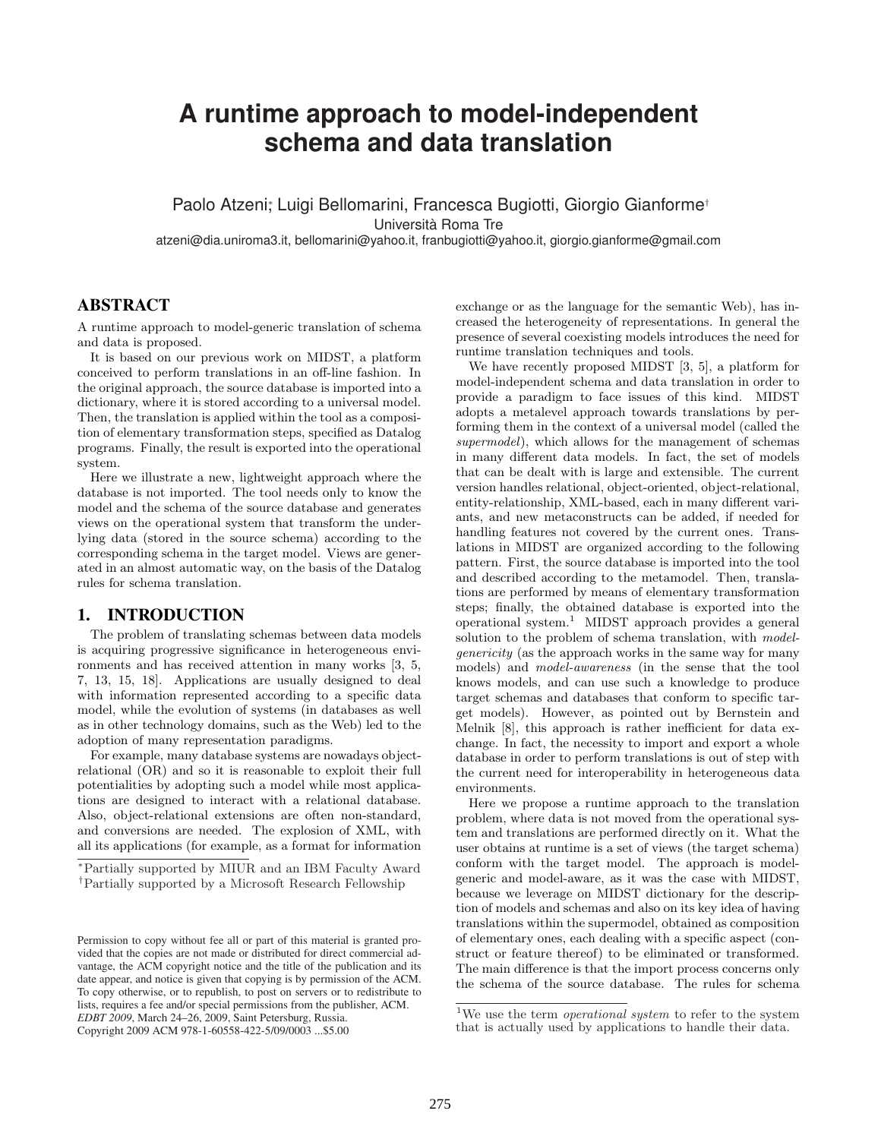# **A runtime approach to model-independent schema and data translation**

Paolo Atzeni; Luigi Bellomarini, Francesca Bugiotti, Giorgio Gianforme<sup>†</sup> Università Roma Tre atzeni@dia.uniroma3.it, bellomarini@yahoo.it, franbugiotti@yahoo.it, giorgio.gianforme@gmail.com

# ABSTRACT

A runtime approach to model-generic translation of schema and data is proposed.

It is based on our previous work on MIDST, a platform conceived to perform translations in an off-line fashion. In the original approach, the source database is imported into a dictionary, where it is stored according to a universal model. Then, the translation is applied within the tool as a composition of elementary transformation steps, specified as Datalog programs. Finally, the result is exported into the operational system.

Here we illustrate a new, lightweight approach where the database is not imported. The tool needs only to know the model and the schema of the source database and generates views on the operational system that transform the underlying data (stored in the source schema) according to the corresponding schema in the target model. Views are generated in an almost automatic way, on the basis of the Datalog rules for schema translation.

# 1. INTRODUCTION

The problem of translating schemas between data models is acquiring progressive significance in heterogeneous environments and has received attention in many works [3, 5, 7, 13, 15, 18]. Applications are usually designed to deal with information represented according to a specific data model, while the evolution of systems (in databases as well as in other technology domains, such as the Web) led to the adoption of many representation paradigms.

For example, many database systems are nowadays objectrelational (OR) and so it is reasonable to exploit their full potentialities by adopting such a model while most applications are designed to interact with a relational database. Also, object-relational extensions are often non-standard, and conversions are needed. The explosion of XML, with all its applications (for example, as a format for information

Copyright 2009 ACM 978-1-60558-422-5/09/0003 ...\$5.00

exchange or as the language for the semantic Web), has increased the heterogeneity of representations. In general the presence of several coexisting models introduces the need for runtime translation techniques and tools.

We have recently proposed MIDST [3, 5], a platform for model-independent schema and data translation in order to provide a paradigm to face issues of this kind. MIDST adopts a metalevel approach towards translations by performing them in the context of a universal model (called the supermodel), which allows for the management of schemas in many different data models. In fact, the set of models that can be dealt with is large and extensible. The current version handles relational, object-oriented, object-relational, entity-relationship, XML-based, each in many different variants, and new metaconstructs can be added, if needed for handling features not covered by the current ones. Translations in MIDST are organized according to the following pattern. First, the source database is imported into the tool and described according to the metamodel. Then, translations are performed by means of elementary transformation steps; finally, the obtained database is exported into the operational system.<sup>1</sup> MIDST approach provides a general solution to the problem of schema translation, with *model*genericity (as the approach works in the same way for many models) and model-awareness (in the sense that the tool knows models, and can use such a knowledge to produce target schemas and databases that conform to specific target models). However, as pointed out by Bernstein and Melnik [8], this approach is rather inefficient for data exchange. In fact, the necessity to import and export a whole database in order to perform translations is out of step with the current need for interoperability in heterogeneous data environments.

Here we propose a runtime approach to the translation problem, where data is not moved from the operational system and translations are performed directly on it. What the user obtains at runtime is a set of views (the target schema) conform with the target model. The approach is modelgeneric and model-aware, as it was the case with MIDST, because we leverage on MIDST dictionary for the description of models and schemas and also on its key idea of having translations within the supermodel, obtained as composition of elementary ones, each dealing with a specific aspect (construct or feature thereof) to be eliminated or transformed. The main difference is that the import process concerns only the schema of the source database. The rules for schema

<sup>∗</sup>Partially supported by MIUR and an IBM Faculty Award †Partially supported by a Microsoft Research Fellowship

Permission to copy without fee all or part of this material is granted provided that the copies are not made or distributed for direct commercial advantage, the ACM copyright notice and the title of the publication and its date appear, and notice is given that copying is by permission of the ACM. To copy otherwise, or to republish, to post on servers or to redistribute to lists, requires a fee and/or special permissions from the publisher, ACM. *EDBT 2009*, March 24–26, 2009, Saint Petersburg, Russia.

<sup>&</sup>lt;sup>1</sup>We use the term *operational system* to refer to the system that is actually used by applications to handle their data.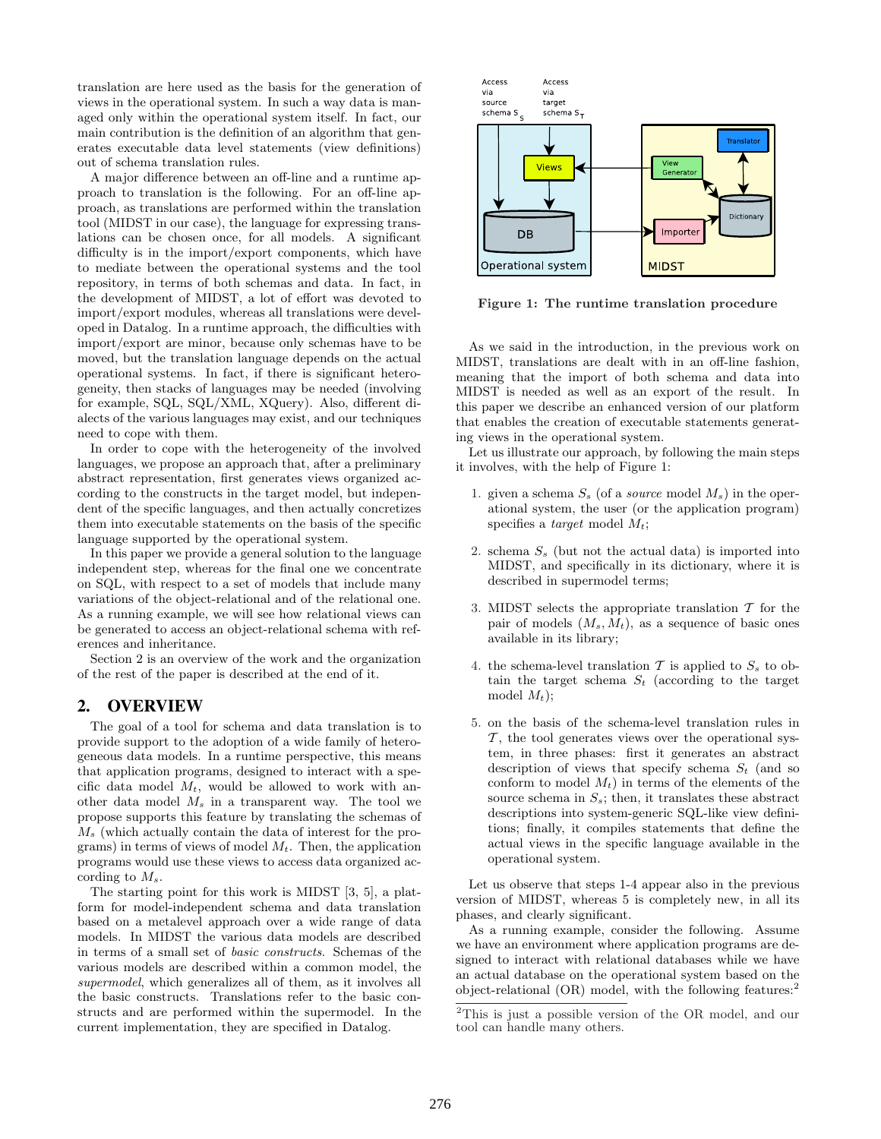translation are here used as the basis for the generation of views in the operational system. In such a way data is managed only within the operational system itself. In fact, our main contribution is the definition of an algorithm that generates executable data level statements (view definitions) out of schema translation rules.

A major difference between an off-line and a runtime approach to translation is the following. For an off-line approach, as translations are performed within the translation tool (MIDST in our case), the language for expressing translations can be chosen once, for all models. A significant difficulty is in the import/export components, which have to mediate between the operational systems and the tool repository, in terms of both schemas and data. In fact, in the development of MIDST, a lot of effort was devoted to import/export modules, whereas all translations were developed in Datalog. In a runtime approach, the difficulties with import/export are minor, because only schemas have to be moved, but the translation language depends on the actual operational systems. In fact, if there is significant heterogeneity, then stacks of languages may be needed (involving for example, SQL, SQL/XML, XQuery). Also, different dialects of the various languages may exist, and our techniques need to cope with them.

In order to cope with the heterogeneity of the involved languages, we propose an approach that, after a preliminary abstract representation, first generates views organized according to the constructs in the target model, but independent of the specific languages, and then actually concretizes them into executable statements on the basis of the specific language supported by the operational system.

In this paper we provide a general solution to the language independent step, whereas for the final one we concentrate on SQL, with respect to a set of models that include many variations of the object-relational and of the relational one. As a running example, we will see how relational views can be generated to access an object-relational schema with references and inheritance.

Section 2 is an overview of the work and the organization of the rest of the paper is described at the end of it.

## 2. OVERVIEW

The goal of a tool for schema and data translation is to provide support to the adoption of a wide family of heterogeneous data models. In a runtime perspective, this means that application programs, designed to interact with a specific data model  $M_t$ , would be allowed to work with another data model  $M_s$  in a transparent way. The tool we propose supports this feature by translating the schemas of  $M_s$  (which actually contain the data of interest for the programs) in terms of views of model  $M_t$ . Then, the application programs would use these views to access data organized according to  $M_s$ .

The starting point for this work is MIDST [3, 5], a platform for model-independent schema and data translation based on a metalevel approach over a wide range of data models. In MIDST the various data models are described in terms of a small set of basic constructs. Schemas of the various models are described within a common model, the supermodel, which generalizes all of them, as it involves all the basic constructs. Translations refer to the basic constructs and are performed within the supermodel. In the current implementation, they are specified in Datalog.



Figure 1: The runtime translation procedure

As we said in the introduction, in the previous work on MIDST, translations are dealt with in an off-line fashion, meaning that the import of both schema and data into MIDST is needed as well as an export of the result. In this paper we describe an enhanced version of our platform that enables the creation of executable statements generating views in the operational system.

Let us illustrate our approach, by following the main steps it involves, with the help of Figure 1:

- 1. given a schema  $S_s$  (of a *source* model  $M_s$ ) in the operational system, the user (or the application program) specifies a *target* model  $M_t$ ;
- 2. schema  $S<sub>s</sub>$  (but not the actual data) is imported into MIDST, and specifically in its dictionary, where it is described in supermodel terms;
- 3. MIDST selects the appropriate translation  $\mathcal T$  for the pair of models  $(M_s, M_t)$ , as a sequence of basic ones available in its library;
- 4. the schema-level translation  $\mathcal T$  is applied to  $S_s$  to obtain the target schema  $S_t$  (according to the target model  $M_t$ ;
- 5. on the basis of the schema-level translation rules in  $\mathcal T$ , the tool generates views over the operational system, in three phases: first it generates an abstract description of views that specify schema  $S_t$  (and so conform to model  $M_t$ ) in terms of the elements of the source schema in  $S_s$ ; then, it translates these abstract descriptions into system-generic SQL-like view definitions; finally, it compiles statements that define the actual views in the specific language available in the operational system.

Let us observe that steps 1-4 appear also in the previous version of MIDST, whereas 5 is completely new, in all its phases, and clearly significant.

As a running example, consider the following. Assume we have an environment where application programs are designed to interact with relational databases while we have an actual database on the operational system based on the object-relational  $(OR)$  model, with the following features:<sup>2</sup>

<sup>&</sup>lt;sup>2</sup>This is just a possible version of the OR model, and our tool can handle many others.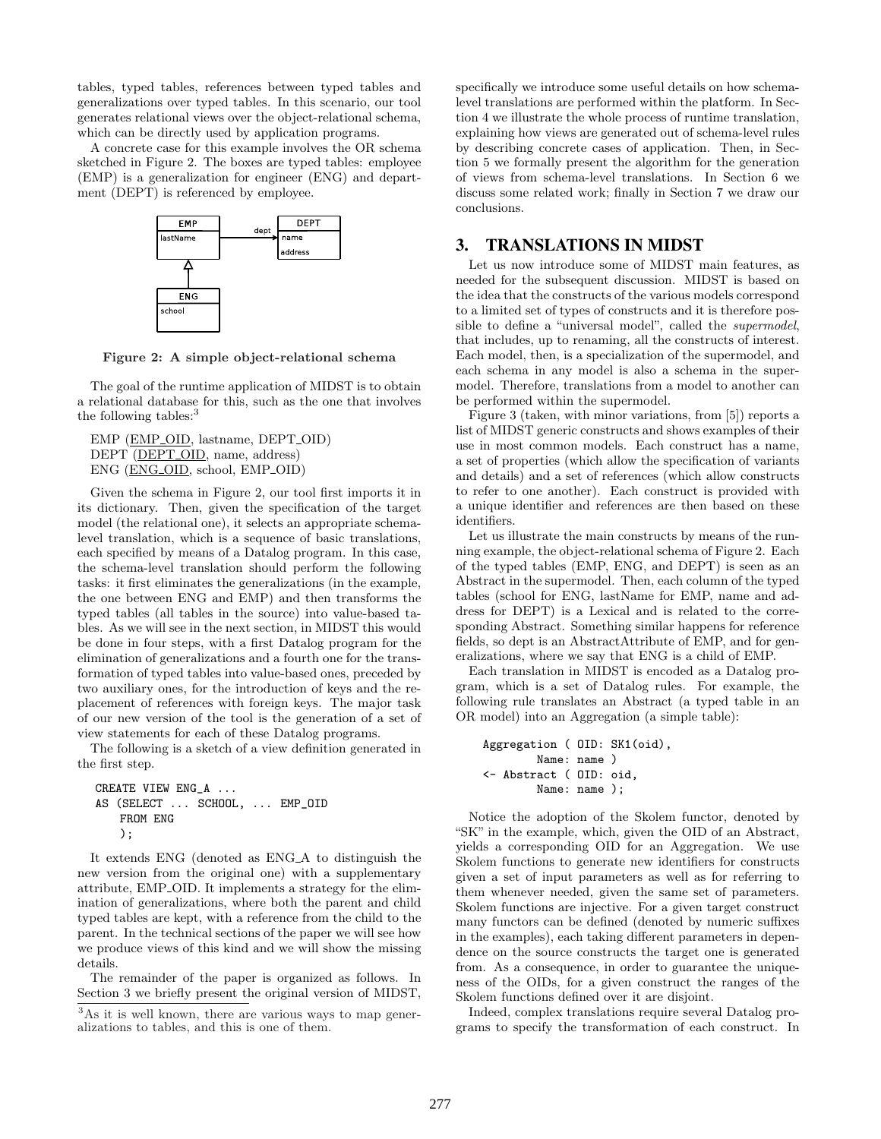tables, typed tables, references between typed tables and generalizations over typed tables. In this scenario, our tool generates relational views over the object-relational schema, which can be directly used by application programs.

A concrete case for this example involves the OR schema sketched in Figure 2. The boxes are typed tables: employee (EMP) is a generalization for engineer (ENG) and department (DEPT) is referenced by employee.



Figure 2: A simple object-relational schema

The goal of the runtime application of MIDST is to obtain a relational database for this, such as the one that involves the following tables:<sup>3</sup>

```
EMP (EMP OID, lastname, DEPT OID)
DEPT (DEPT<sub>-OID</sub>, name, address)
ENG (ENG OID, school, EMP OID)
```
Given the schema in Figure 2, our tool first imports it in its dictionary. Then, given the specification of the target model (the relational one), it selects an appropriate schemalevel translation, which is a sequence of basic translations, each specified by means of a Datalog program. In this case, the schema-level translation should perform the following tasks: it first eliminates the generalizations (in the example, the one between ENG and EMP) and then transforms the typed tables (all tables in the source) into value-based tables. As we will see in the next section, in MIDST this would be done in four steps, with a first Datalog program for the elimination of generalizations and a fourth one for the transformation of typed tables into value-based ones, preceded by two auxiliary ones, for the introduction of keys and the replacement of references with foreign keys. The major task of our new version of the tool is the generation of a set of view statements for each of these Datalog programs.

The following is a sketch of a view definition generated in the first step.

```
CREATE VIEW ENG_A ...
AS (SELECT ... SCHOOL, ... EMP_OID
   FROM ENG
   );
```
It extends ENG (denoted as ENG<sub>A</sub> to distinguish the new version from the original one) with a supplementary attribute, EMP OID. It implements a strategy for the elimination of generalizations, where both the parent and child typed tables are kept, with a reference from the child to the parent. In the technical sections of the paper we will see how we produce views of this kind and we will show the missing details.

The remainder of the paper is organized as follows. In Section 3 we briefly present the original version of MIDST, specifically we introduce some useful details on how schemalevel translations are performed within the platform. In Section 4 we illustrate the whole process of runtime translation, explaining how views are generated out of schema-level rules by describing concrete cases of application. Then, in Section 5 we formally present the algorithm for the generation of views from schema-level translations. In Section 6 we discuss some related work; finally in Section 7 we draw our conclusions.

## 3. TRANSLATIONS IN MIDST

Let us now introduce some of MIDST main features, as needed for the subsequent discussion. MIDST is based on the idea that the constructs of the various models correspond to a limited set of types of constructs and it is therefore possible to define a "universal model", called the supermodel, that includes, up to renaming, all the constructs of interest. Each model, then, is a specialization of the supermodel, and each schema in any model is also a schema in the supermodel. Therefore, translations from a model to another can be performed within the supermodel.

Figure 3 (taken, with minor variations, from [5]) reports a list of MIDST generic constructs and shows examples of their use in most common models. Each construct has a name, a set of properties (which allow the specification of variants and details) and a set of references (which allow constructs to refer to one another). Each construct is provided with a unique identifier and references are then based on these identifiers.

Let us illustrate the main constructs by means of the running example, the object-relational schema of Figure 2. Each of the typed tables (EMP, ENG, and DEPT) is seen as an Abstract in the supermodel. Then, each column of the typed tables (school for ENG, lastName for EMP, name and address for DEPT) is a Lexical and is related to the corresponding Abstract. Something similar happens for reference fields, so dept is an AbstractAttribute of EMP, and for generalizations, where we say that ENG is a child of EMP.

Each translation in MIDST is encoded as a Datalog program, which is a set of Datalog rules. For example, the following rule translates an Abstract (a typed table in an OR model) into an Aggregation (a simple table):

```
Aggregation ( OID: SK1(oid),
        Name: name )
<- Abstract ( OID: oid,
        Name: name );
```
Notice the adoption of the Skolem functor, denoted by "SK" in the example, which, given the OID of an Abstract, yields a corresponding OID for an Aggregation. We use Skolem functions to generate new identifiers for constructs given a set of input parameters as well as for referring to them whenever needed, given the same set of parameters. Skolem functions are injective. For a given target construct many functors can be defined (denoted by numeric suffixes in the examples), each taking different parameters in dependence on the source constructs the target one is generated from. As a consequence, in order to guarantee the uniqueness of the OIDs, for a given construct the ranges of the Skolem functions defined over it are disjoint.

Indeed, complex translations require several Datalog programs to specify the transformation of each construct. In

<sup>3</sup>As it is well known, there are various ways to map generalizations to tables, and this is one of them.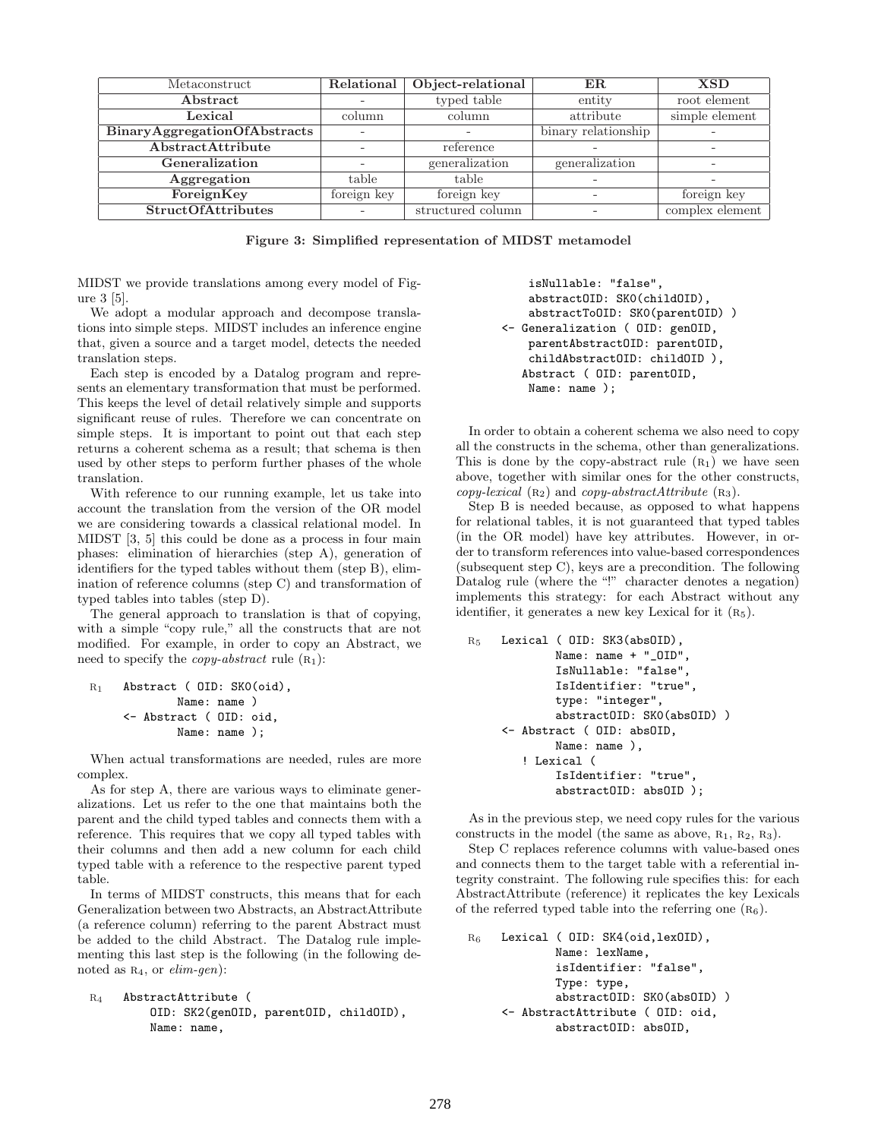| Metaconstruct                | Relational  | Object-relational | ER                       | <b>XSD</b>      |
|------------------------------|-------------|-------------------|--------------------------|-----------------|
| Abstract                     |             | typed table       | entity                   | root element    |
| Lexical                      | column      | column            | attribute                | simple element  |
| BinaryAggregationOfAbstracts |             |                   | binary relationship      |                 |
| AbstractAttribute            |             | reference         |                          |                 |
| Generalization               |             | generalization    | generalization           |                 |
| Aggregation                  | table       | table             | -                        |                 |
| ForeignKey                   | foreign key | foreign key       | $\overline{\phantom{0}}$ | foreign key     |
| <b>StructOfAttributes</b>    |             | structured column |                          | complex element |

Figure 3: Simplified representation of MIDST metamodel

MIDST we provide translations among every model of Figure 3 [5].

We adopt a modular approach and decompose translations into simple steps. MIDST includes an inference engine that, given a source and a target model, detects the needed translation steps.

Each step is encoded by a Datalog program and represents an elementary transformation that must be performed. This keeps the level of detail relatively simple and supports significant reuse of rules. Therefore we can concentrate on simple steps. It is important to point out that each step returns a coherent schema as a result; that schema is then used by other steps to perform further phases of the whole translation.

With reference to our running example, let us take into account the translation from the version of the OR model we are considering towards a classical relational model. In MIDST [3, 5] this could be done as a process in four main phases: elimination of hierarchies (step A), generation of identifiers for the typed tables without them (step B), elimination of reference columns (step C) and transformation of typed tables into tables (step D).

The general approach to translation is that of copying, with a simple "copy rule," all the constructs that are not modified. For example, in order to copy an Abstract, we need to specify the *copy-abstract* rule  $(R_1)$ :

```
R_1 Abstract ( OID: SKO(oid),
             Name: name )
     <- Abstract ( OID: oid,
             Name: name );
```
When actual transformations are needed, rules are more complex.

As for step A, there are various ways to eliminate generalizations. Let us refer to the one that maintains both the parent and the child typed tables and connects them with a reference. This requires that we copy all typed tables with their columns and then add a new column for each child typed table with a reference to the respective parent typed table.

In terms of MIDST constructs, this means that for each Generalization between two Abstracts, an AbstractAttribute (a reference column) referring to the parent Abstract must be added to the child Abstract. The Datalog rule implementing this last step is the following (in the following denoted as  $R_4$ , or  $elim\text{-}gen)$ :

```
R_4 AbstractAttribute (
         OID: SK2(genOID, parentOID, childOID),
         Name: name,
```
isNullable: "false", abstractOID: SK0(childOID), abstractToOID: SK0(parentOID) ) <- Generalization ( OID: genOID, parentAbstractOID: parentOID, childAbstractOID: childOID ), Abstract ( OID: parentOID, Name: name );

In order to obtain a coherent schema we also need to copy all the constructs in the schema, other than generalizations. This is done by the copy-abstract rule  $(R_1)$  we have seen above, together with similar ones for the other constructs, copy-lexical  $(R_2)$  and copy-abstractAttribute  $(R_3)$ .

Step B is needed because, as opposed to what happens for relational tables, it is not guaranteed that typed tables (in the OR model) have key attributes. However, in order to transform references into value-based correspondences (subsequent step C), keys are a precondition. The following Datalog rule (where the "!" character denotes a negation) implements this strategy: for each Abstract without any identifier, it generates a new key Lexical for it  $(R_5)$ .

```
R<sub>5</sub> Lexical ( OID: SK3(absOID),
             Name: name + "_OID",
              IsNullable: "false",
              IsIdentifier: "true",
              type: "integer",
              abstractOID: SK0(absOID) )
     <- Abstract ( OID: absOID,
             Name: name ),
        ! Lexical (
              IsIdentifier: "true",
              abstractOID: absOID );
```
As in the previous step, we need copy rules for the various constructs in the model (the same as above,  $R_1$ ,  $R_2$ ,  $R_3$ ).

Step C replaces reference columns with value-based ones and connects them to the target table with a referential integrity constraint. The following rule specifies this: for each AbstractAttribute (reference) it replicates the key Lexicals of the referred typed table into the referring one  $(R_6)$ .

```
R_6 Lexical ( OID: SK4(oid,lexOID),
             Name: lexName,
             isIdentifier: "false",
             Type: type,
             abstractOID: SK0(absOID) )
     <- AbstractAttribute ( OID: oid,
             abstractOID: absOID,
```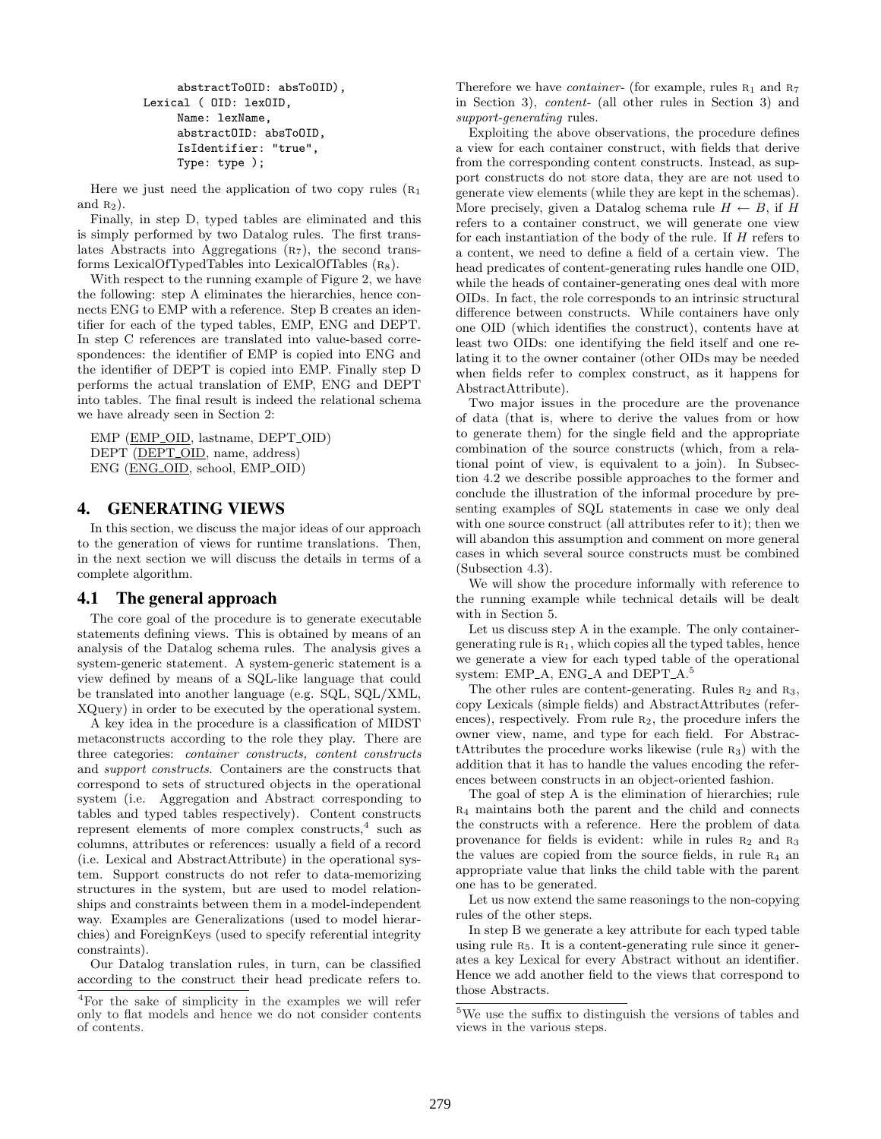```
abstractToOID: absToOID),
Lexical ( OID: lexOID,
     Name: lexName,
     abstractOID: absToOID,
     IsIdentifier: "true",
     Type: type );
```
Here we just need the application of two copy rules  $(R_1)$ and  $R_2$ ).

Finally, in step D, typed tables are eliminated and this is simply performed by two Datalog rules. The first translates Abstracts into Aggregations  $(R_7)$ , the second transforms LexicalOfTypedTables into LexicalOfTables  $(R_8)$ .

With respect to the running example of Figure 2, we have the following: step A eliminates the hierarchies, hence connects ENG to EMP with a reference. Step B creates an identifier for each of the typed tables, EMP, ENG and DEPT. In step C references are translated into value-based correspondences: the identifier of EMP is copied into ENG and the identifier of DEPT is copied into EMP. Finally step D performs the actual translation of EMP, ENG and DEPT into tables. The final result is indeed the relational schema we have already seen in Section 2:

EMP (EMP\_OID, lastname, DEPT\_OID) DEPT (DEPT\_OID, name, address) ENG (ENG OID, school, EMP OID)

## 4. GENERATING VIEWS

In this section, we discuss the major ideas of our approach to the generation of views for runtime translations. Then, in the next section we will discuss the details in terms of a complete algorithm.

#### 4.1 The general approach

The core goal of the procedure is to generate executable statements defining views. This is obtained by means of an analysis of the Datalog schema rules. The analysis gives a system-generic statement. A system-generic statement is a view defined by means of a SQL-like language that could be translated into another language (e.g. SQL, SQL/XML, XQuery) in order to be executed by the operational system.

A key idea in the procedure is a classification of MIDST metaconstructs according to the role they play. There are three categories: container constructs, content constructs and support constructs. Containers are the constructs that correspond to sets of structured objects in the operational system (i.e. Aggregation and Abstract corresponding to tables and typed tables respectively). Content constructs represent elements of more complex constructs, $4$  such as columns, attributes or references: usually a field of a record (i.e. Lexical and AbstractAttribute) in the operational system. Support constructs do not refer to data-memorizing structures in the system, but are used to model relationships and constraints between them in a model-independent way. Examples are Generalizations (used to model hierarchies) and ForeignKeys (used to specify referential integrity constraints).

Our Datalog translation rules, in turn, can be classified according to the construct their head predicate refers to.

Therefore we have *container*- (for example, rules  $R_1$  and  $R_7$ ) in Section 3), content- (all other rules in Section 3) and support-generating rules.

Exploiting the above observations, the procedure defines a view for each container construct, with fields that derive from the corresponding content constructs. Instead, as support constructs do not store data, they are are not used to generate view elements (while they are kept in the schemas). More precisely, given a Datalog schema rule  $H \leftarrow B$ , if H refers to a container construct, we will generate one view for each instantiation of the body of the rule. If  $H$  refers to a content, we need to define a field of a certain view. The head predicates of content-generating rules handle one OID, while the heads of container-generating ones deal with more OIDs. In fact, the role corresponds to an intrinsic structural difference between constructs. While containers have only one OID (which identifies the construct), contents have at least two OIDs: one identifying the field itself and one relating it to the owner container (other OIDs may be needed when fields refer to complex construct, as it happens for AbstractAttribute).

Two major issues in the procedure are the provenance of data (that is, where to derive the values from or how to generate them) for the single field and the appropriate combination of the source constructs (which, from a relational point of view, is equivalent to a join). In Subsection 4.2 we describe possible approaches to the former and conclude the illustration of the informal procedure by presenting examples of SQL statements in case we only deal with one source construct (all attributes refer to it); then we will abandon this assumption and comment on more general cases in which several source constructs must be combined (Subsection 4.3).

We will show the procedure informally with reference to the running example while technical details will be dealt with in Section 5.

Let us discuss step A in the example. The only containergenerating rule is  $R_1$ , which copies all the typed tables, hence we generate a view for each typed table of the operational system: EMP\_A, ENG\_A and DEPT\_A. $^5$ 

The other rules are content-generating. Rules  $R_2$  and  $R_3$ , copy Lexicals (simple fields) and AbstractAttributes (references), respectively. From rule  $R_2$ , the procedure infers the owner view, name, and type for each field. For AbstractAttributes the procedure works likewise (rule  $R_3$ ) with the addition that it has to handle the values encoding the references between constructs in an object-oriented fashion.

The goal of step A is the elimination of hierarchies; rule  $R<sub>4</sub>$  maintains both the parent and the child and connects the constructs with a reference. Here the problem of data provenance for fields is evident: while in rules  $R_2$  and  $R_3$ the values are copied from the source fields, in rule  $R<sub>4</sub>$  an appropriate value that links the child table with the parent one has to be generated.

Let us now extend the same reasonings to the non-copying rules of the other steps.

In step B we generate a key attribute for each typed table using rule  $R_5$ . It is a content-generating rule since it generates a key Lexical for every Abstract without an identifier. Hence we add another field to the views that correspond to those Abstracts.

<sup>4</sup>For the sake of simplicity in the examples we will refer only to flat models and hence we do not consider contents of contents.

<sup>5</sup>We use the suffix to distinguish the versions of tables and views in the various steps.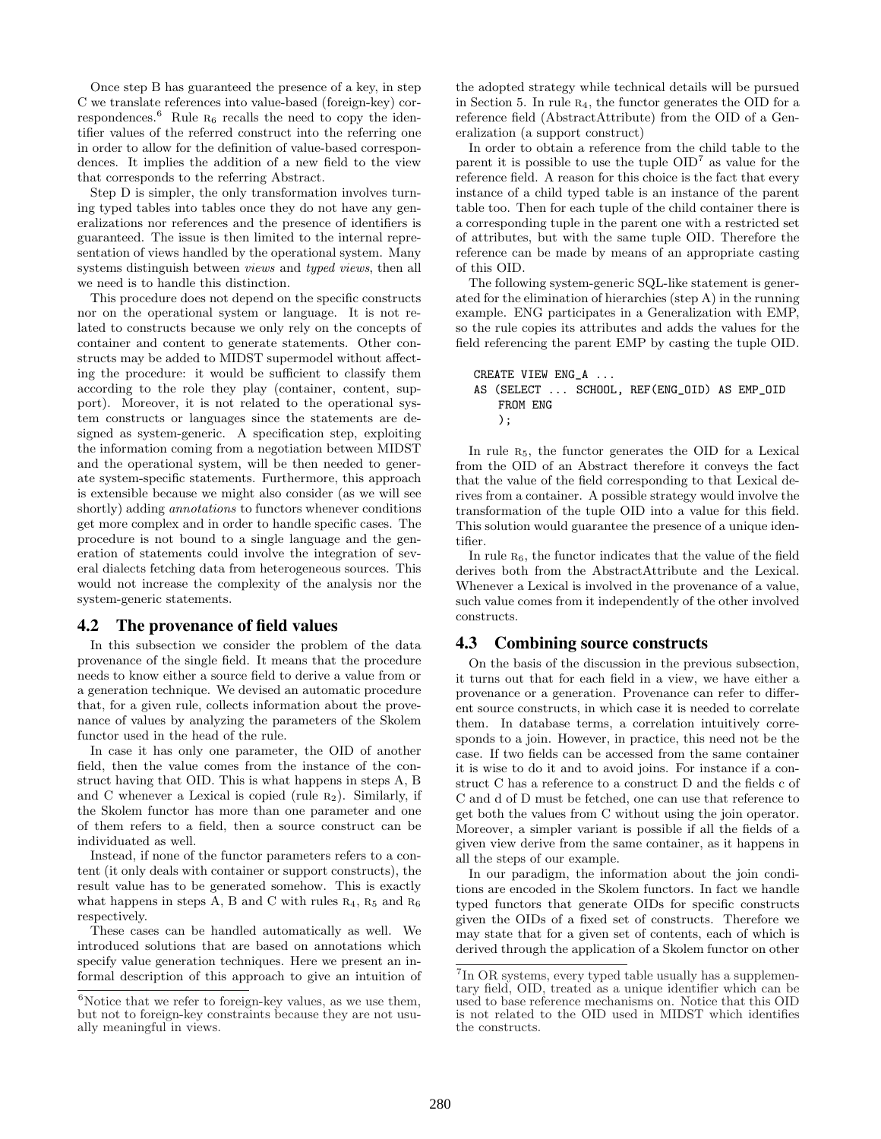Once step B has guaranteed the presence of a key, in step C we translate references into value-based (foreign-key) correspondences.<sup>6</sup> Rule  $R_6$  recalls the need to copy the identifier values of the referred construct into the referring one in order to allow for the definition of value-based correspondences. It implies the addition of a new field to the view that corresponds to the referring Abstract.

Step D is simpler, the only transformation involves turning typed tables into tables once they do not have any generalizations nor references and the presence of identifiers is guaranteed. The issue is then limited to the internal representation of views handled by the operational system. Many systems distinguish between views and typed views, then all we need is to handle this distinction.

This procedure does not depend on the specific constructs nor on the operational system or language. It is not related to constructs because we only rely on the concepts of container and content to generate statements. Other constructs may be added to MIDST supermodel without affecting the procedure: it would be sufficient to classify them according to the role they play (container, content, support). Moreover, it is not related to the operational system constructs or languages since the statements are designed as system-generic. A specification step, exploiting the information coming from a negotiation between MIDST and the operational system, will be then needed to generate system-specific statements. Furthermore, this approach is extensible because we might also consider (as we will see shortly) adding *annotations* to functors whenever conditions get more complex and in order to handle specific cases. The procedure is not bound to a single language and the generation of statements could involve the integration of several dialects fetching data from heterogeneous sources. This would not increase the complexity of the analysis nor the system-generic statements.

#### 4.2 The provenance of field values

In this subsection we consider the problem of the data provenance of the single field. It means that the procedure needs to know either a source field to derive a value from or a generation technique. We devised an automatic procedure that, for a given rule, collects information about the provenance of values by analyzing the parameters of the Skolem functor used in the head of the rule.

In case it has only one parameter, the OID of another field, then the value comes from the instance of the construct having that OID. This is what happens in steps A, B and C whenever a Lexical is copied (rule  $R_2$ ). Similarly, if the Skolem functor has more than one parameter and one of them refers to a field, then a source construct can be individuated as well.

Instead, if none of the functor parameters refers to a content (it only deals with container or support constructs), the result value has to be generated somehow. This is exactly what happens in steps A, B and C with rules  $R_4$ ,  $R_5$  and  $R_6$ respectively.

These cases can be handled automatically as well. We introduced solutions that are based on annotations which specify value generation techniques. Here we present an informal description of this approach to give an intuition of the adopted strategy while technical details will be pursued in Section 5. In rule  $R_4$ , the functor generates the OID for a reference field (AbstractAttribute) from the OID of a Generalization (a support construct)

In order to obtain a reference from the child table to the parent it is possible to use the tuple  $OID<sup>7</sup>$  as value for the reference field. A reason for this choice is the fact that every instance of a child typed table is an instance of the parent table too. Then for each tuple of the child container there is a corresponding tuple in the parent one with a restricted set of attributes, but with the same tuple OID. Therefore the reference can be made by means of an appropriate casting of this OID.

The following system-generic SQL-like statement is generated for the elimination of hierarchies (step A) in the running example. ENG participates in a Generalization with EMP, so the rule copies its attributes and adds the values for the field referencing the parent EMP by casting the tuple OID.

```
CREATE VIEW ENG_A ...
AS (SELECT ... SCHOOL, REF(ENG_OID) AS EMP_OID
   FROM ENG
   );
```
In rule  $R_5$ , the functor generates the OID for a Lexical from the OID of an Abstract therefore it conveys the fact that the value of the field corresponding to that Lexical derives from a container. A possible strategy would involve the transformation of the tuple OID into a value for this field. This solution would guarantee the presence of a unique identifier.

In rule  $R_6$ , the functor indicates that the value of the field derives both from the AbstractAttribute and the Lexical. Whenever a Lexical is involved in the provenance of a value, such value comes from it independently of the other involved constructs.

#### 4.3 Combining source constructs

On the basis of the discussion in the previous subsection, it turns out that for each field in a view, we have either a provenance or a generation. Provenance can refer to different source constructs, in which case it is needed to correlate them. In database terms, a correlation intuitively corresponds to a join. However, in practice, this need not be the case. If two fields can be accessed from the same container it is wise to do it and to avoid joins. For instance if a construct C has a reference to a construct D and the fields c of C and d of D must be fetched, one can use that reference to get both the values from C without using the join operator. Moreover, a simpler variant is possible if all the fields of a given view derive from the same container, as it happens in all the steps of our example.

In our paradigm, the information about the join conditions are encoded in the Skolem functors. In fact we handle typed functors that generate OIDs for specific constructs given the OIDs of a fixed set of constructs. Therefore we may state that for a given set of contents, each of which is derived through the application of a Skolem functor on other

 $6$ Notice that we refer to foreign-key values, as we use them, but not to foreign-key constraints because they are not usually meaningful in views.

<sup>&</sup>lt;sup>7</sup>In OR systems, every typed table usually has a supplementary field, OID, treated as a unique identifier which can be used to base reference mechanisms on. Notice that this OID is not related to the OID used in MIDST which identifies the constructs.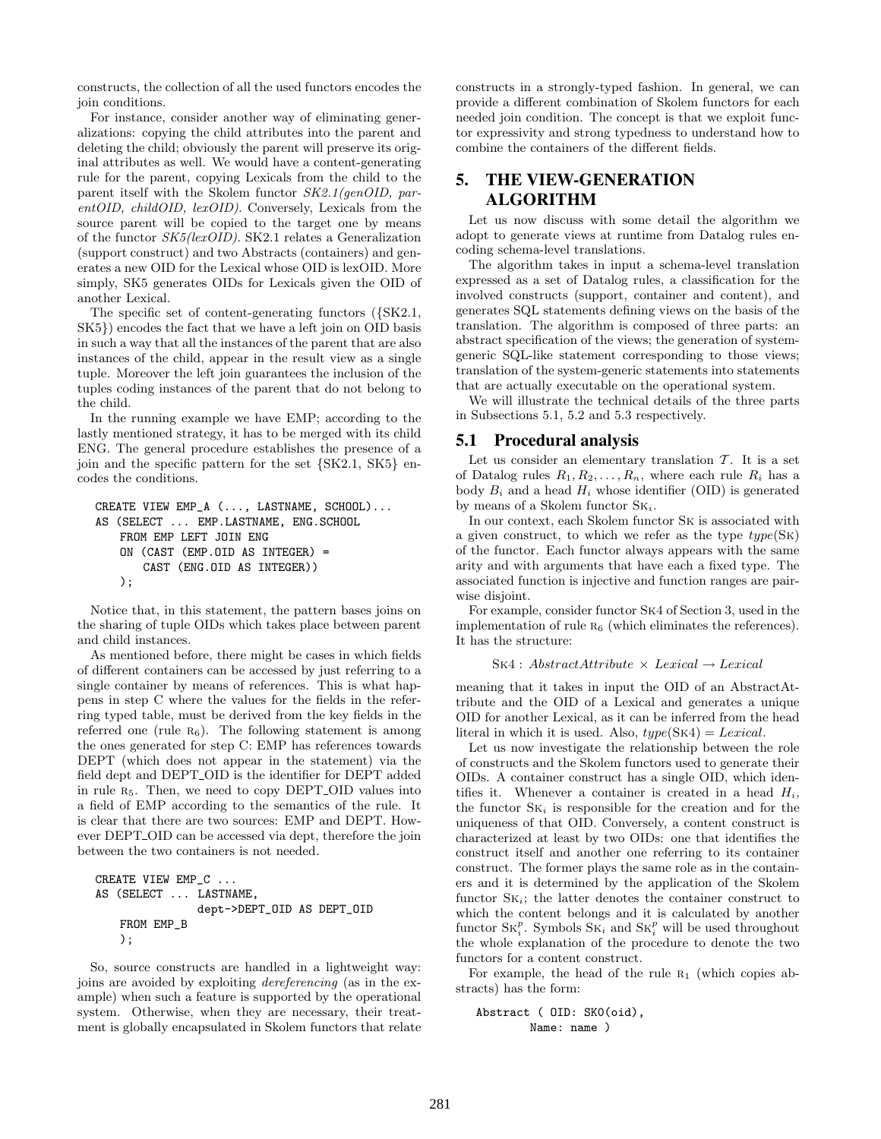constructs, the collection of all the used functors encodes the join conditions.

For instance, consider another way of eliminating generalizations: copying the child attributes into the parent and deleting the child; obviously the parent will preserve its original attributes as well. We would have a content-generating rule for the parent, copying Lexicals from the child to the parent itself with the Skolem functor SK2.1(genOID, parentOID, childOID, lexOID). Conversely, Lexicals from the source parent will be copied to the target one by means of the functor SK5(lexOID). SK2.1 relates a Generalization (support construct) and two Abstracts (containers) and generates a new OID for the Lexical whose OID is lexOID. More simply, SK5 generates OIDs for Lexicals given the OID of another Lexical.

The specific set of content-generating functors ({SK2.1, SK5}) encodes the fact that we have a left join on OID basis in such a way that all the instances of the parent that are also instances of the child, appear in the result view as a single tuple. Moreover the left join guarantees the inclusion of the tuples coding instances of the parent that do not belong to the child.

In the running example we have EMP; according to the lastly mentioned strategy, it has to be merged with its child ENG. The general procedure establishes the presence of a join and the specific pattern for the set {SK2.1, SK5} encodes the conditions.

```
CREATE VIEW EMP_A (..., LASTNAME, SCHOOL)...
AS (SELECT ... EMP.LASTNAME, ENG.SCHOOL
   FROM EMP LEFT JOIN ENG
   ON (CAST (EMP.OID AS INTEGER) =
       CAST (ENG.OID AS INTEGER))
   );
```
Notice that, in this statement, the pattern bases joins on the sharing of tuple OIDs which takes place between parent and child instances.

As mentioned before, there might be cases in which fields of different containers can be accessed by just referring to a single container by means of references. This is what happens in step C where the values for the fields in the referring typed table, must be derived from the key fields in the referred one (rule  $R_6$ ). The following statement is among the ones generated for step C: EMP has references towards DEPT (which does not appear in the statement) via the field dept and DEPT OID is the identifier for DEPT added in rule  $R_5$ . Then, we need to copy DEPT\_OID values into a field of EMP according to the semantics of the rule. It is clear that there are two sources: EMP and DEPT. However DEPT OID can be accessed via dept, therefore the join between the two containers is not needed.

```
CREATE VIEW EMP_C ...
AS (SELECT ... LASTNAME,
               dept->DEPT_OID AS DEPT_OID
   FROM EMP_B
   );
```
So, source constructs are handled in a lightweight way: joins are avoided by exploiting dereferencing (as in the example) when such a feature is supported by the operational system. Otherwise, when they are necessary, their treatment is globally encapsulated in Skolem functors that relate constructs in a strongly-typed fashion. In general, we can provide a different combination of Skolem functors for each needed join condition. The concept is that we exploit functor expressivity and strong typedness to understand how to combine the containers of the different fields.

# 5. THE VIEW-GENERATION ALGORITHM

Let us now discuss with some detail the algorithm we adopt to generate views at runtime from Datalog rules encoding schema-level translations.

The algorithm takes in input a schema-level translation expressed as a set of Datalog rules, a classification for the involved constructs (support, container and content), and generates SQL statements defining views on the basis of the translation. The algorithm is composed of three parts: an abstract specification of the views; the generation of systemgeneric SQL-like statement corresponding to those views; translation of the system-generic statements into statements that are actually executable on the operational system.

We will illustrate the technical details of the three parts in Subsections 5.1, 5.2 and 5.3 respectively.

## 5.1 Procedural analysis

Let us consider an elementary translation  $T$ . It is a set of Datalog rules  $R_1, R_2, \ldots, R_n$ , where each rule  $R_i$  has a body  $B_i$  and a head  $H_i$  whose identifier (OID) is generated by means of a Skolem functor  $SK_i$ .

In our context, each Skolem functor Sk is associated with a given construct, to which we refer as the type  $type(SK)$ of the functor. Each functor always appears with the same arity and with arguments that have each a fixed type. The associated function is injective and function ranges are pairwise disjoint.

For example, consider functor Sk4 of Section 3, used in the implementation of rule  $R_6$  (which eliminates the references). It has the structure:

```
SK4: AbstractAttribute \times Lexical \rightarrow Lexical
```
meaning that it takes in input the OID of an AbstractAttribute and the OID of a Lexical and generates a unique OID for another Lexical, as it can be inferred from the head literal in which it is used. Also,  $type(SK4) = Lexical$ .

Let us now investigate the relationship between the role of constructs and the Skolem functors used to generate their OIDs. A container construct has a single OID, which identifies it. Whenever a container is created in a head  $H_i$ , the functor  $S_{i}$  is responsible for the creation and for the uniqueness of that OID. Conversely, a content construct is characterized at least by two OIDs: one that identifies the construct itself and another one referring to its container construct. The former plays the same role as in the containers and it is determined by the application of the Skolem functor  $SK_i$ ; the latter denotes the container construct to which the content belongs and it is calculated by another functor  $\text{SK}_i^p$ . Symbols  $\text{SK}_i$  and  $\text{SK}_i^p$  will be used throughout the whole explanation of the procedure to denote the two functors for a content construct.

For example, the head of the rule  $R_1$  (which copies abstracts) has the form:

Abstract ( OID: SK0(oid), Name: name )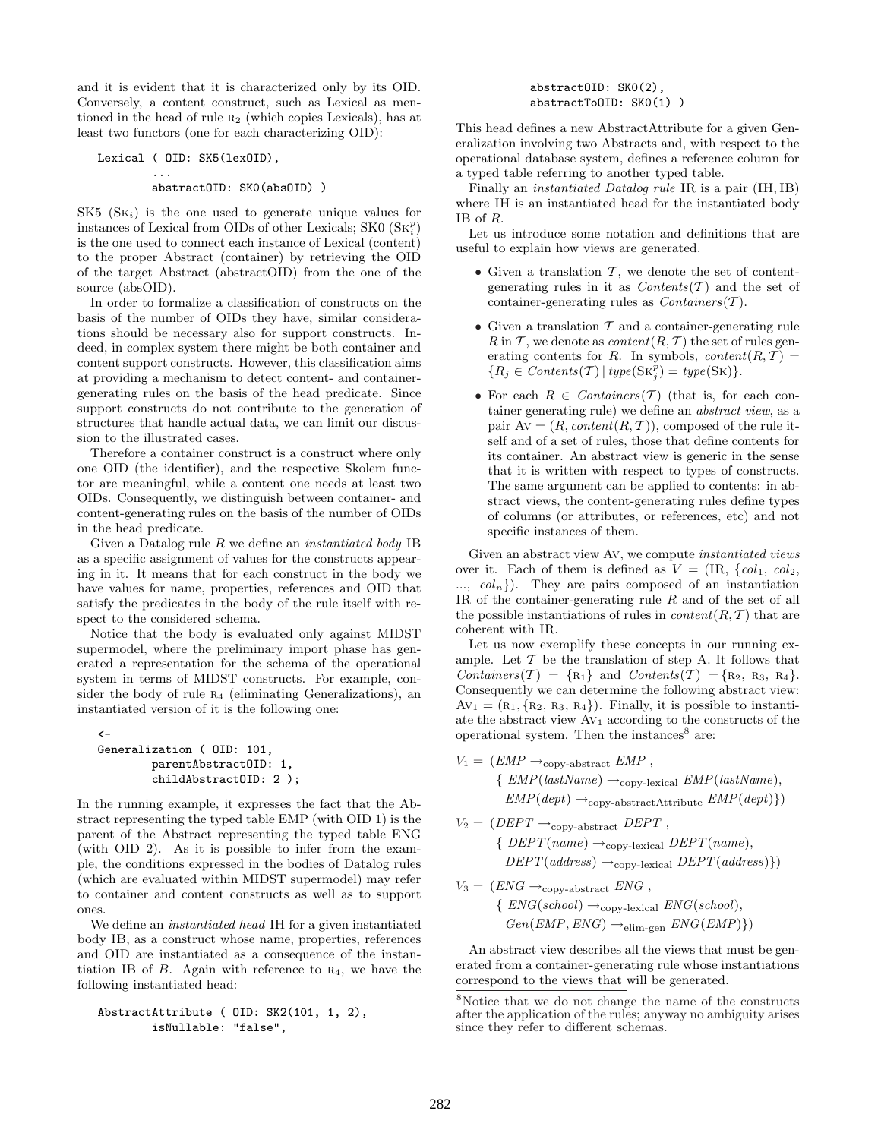and it is evident that it is characterized only by its OID. Conversely, a content construct, such as Lexical as mentioned in the head of rule  $R_2$  (which copies Lexicals), has at least two functors (one for each characterizing OID):

```
Lexical ( OID: SK5(lexOID),
```
...

#### abstractOID: SK0(absOID) )

SK5  $(S_{k_i})$  is the one used to generate unique values for instances of Lexical from OIDs of other Lexicals; SK0  $(SK_i^p)$ is the one used to connect each instance of Lexical (content) to the proper Abstract (container) by retrieving the OID of the target Abstract (abstractOID) from the one of the source (absOID).

In order to formalize a classification of constructs on the basis of the number of OIDs they have, similar considerations should be necessary also for support constructs. Indeed, in complex system there might be both container and content support constructs. However, this classification aims at providing a mechanism to detect content- and containergenerating rules on the basis of the head predicate. Since support constructs do not contribute to the generation of structures that handle actual data, we can limit our discussion to the illustrated cases.

Therefore a container construct is a construct where only one OID (the identifier), and the respective Skolem functor are meaningful, while a content one needs at least two OIDs. Consequently, we distinguish between container- and content-generating rules on the basis of the number of OIDs in the head predicate.

Given a Datalog rule  $R$  we define an *instantiated body* IB as a specific assignment of values for the constructs appearing in it. It means that for each construct in the body we have values for name, properties, references and OID that satisfy the predicates in the body of the rule itself with respect to the considered schema.

Notice that the body is evaluated only against MIDST supermodel, where the preliminary import phase has generated a representation for the schema of the operational system in terms of MIDST constructs. For example, consider the body of rule  $R_4$  (eliminating Generalizations), an instantiated version of it is the following one:

```
\epsilonGeneralization ( OID: 101,
        parentAbstractOID: 1,
        childAbstractOID: 2 );
```
In the running example, it expresses the fact that the Abstract representing the typed table EMP (with OID 1) is the parent of the Abstract representing the typed table ENG (with OID 2). As it is possible to infer from the example, the conditions expressed in the bodies of Datalog rules (which are evaluated within MIDST supermodel) may refer to container and content constructs as well as to support ones.

We define an instantiated head IH for a given instantiated body IB, as a construct whose name, properties, references and OID are instantiated as a consequence of the instantiation IB of  $B$ . Again with reference to  $R_4$ , we have the following instantiated head:

```
AbstractAttribute ( OID: SK2(101, 1, 2),
        isNullable: "false",
```
#### abstractOID: SK0(2), abstractToOID: SK0(1) )

This head defines a new AbstractAttribute for a given Generalization involving two Abstracts and, with respect to the operational database system, defines a reference column for a typed table referring to another typed table.

Finally an instantiated Datalog rule IR is a pair (IH, IB) where IH is an instantiated head for the instantiated body IB of  $R$ .

Let us introduce some notation and definitions that are useful to explain how views are generated.

- Given a translation  $\mathcal{T}$ , we denote the set of contentgenerating rules in it as  $Contents(\mathcal{T})$  and the set of container-generating rules as  $Contents(\mathcal{T})$ .
- Given a translation  $\mathcal T$  and a container-generating rule  $R$  in  $\mathcal T$ , we denote as *content*( $R, \mathcal T$ ) the set of rules generating contents for R. In symbols,  $content(R, T) =$  ${R_j \in Contents(T) | type(SK_j^p) = type(SK)}.$
- For each  $R \in$  Containers(T) (that is, for each container generating rule) we define an abstract view, as a pair  $Av = (R, content(R, T)),$  composed of the rule itself and of a set of rules, those that define contents for its container. An abstract view is generic in the sense that it is written with respect to types of constructs. The same argument can be applied to contents: in abstract views, the content-generating rules define types of columns (or attributes, or references, etc) and not specific instances of them.

Given an abstract view Av, we compute *instantiated views* over it. Each of them is defined as  $V = (IR, \{col_1, col_2,$ ...,  $col_n$ ). They are pairs composed of an instantiation IR of the container-generating rule  $R$  and of the set of all the possible instantiations of rules in  $content(R, T)$  that are coherent with IR.

Let us now exemplify these concepts in our running example. Let  $\mathcal T$  be the translation of step A. It follows that  $Contents(\mathcal{T}) = \{R_1\}$  and  $Contents(\mathcal{T}) = \{R_2, R_3, R_4\}.$ Consequently we can determine the following abstract view:  $Av_1 = (R_1, \{R_2, R_3, R_4\})$ . Finally, it is possible to instantiate the abstract view  $Av_1$  according to the constructs of the operational system. Then the instances<sup>8</sup> are:

$$
V_1 = (EMP \rightarrow_{\text{copy-abstract}} EMP, \n{EMP(lastName) \rightarrow_{\text{copy-lexical}} EMP(lastName), \nEMP(dept) \rightarrow_{\text{copy-abstract}Attribute} EMP(dept) \})
$$

$$
V_2 = (DEPT \rightarrow_{\text{copy-abstract}} DEPT, \{ DEPT(name) \rightarrow_{\text{copy-lexical}} DEPT(name), \nDEPT(address) \rightarrow_{\text{copy-lexical}} DEPT(address)\})
$$

$$
V_3 = (ENG \rightarrow_{\text{copy-abstract}} ENG,
$$
  
{ $ENG(school) \rightarrow_{\text{copy-lexical}} ENG(school),$   
 $Gen(EMP, ENG) \rightarrow_{\text{elim-gen}} ENG(EMP)\}$ }

An abstract view describes all the views that must be generated from a container-generating rule whose instantiations correspond to the views that will be generated.

 $8$ Notice that we do not change the name of the constructs after the application of the rules; anyway no ambiguity arises since they refer to different schemas.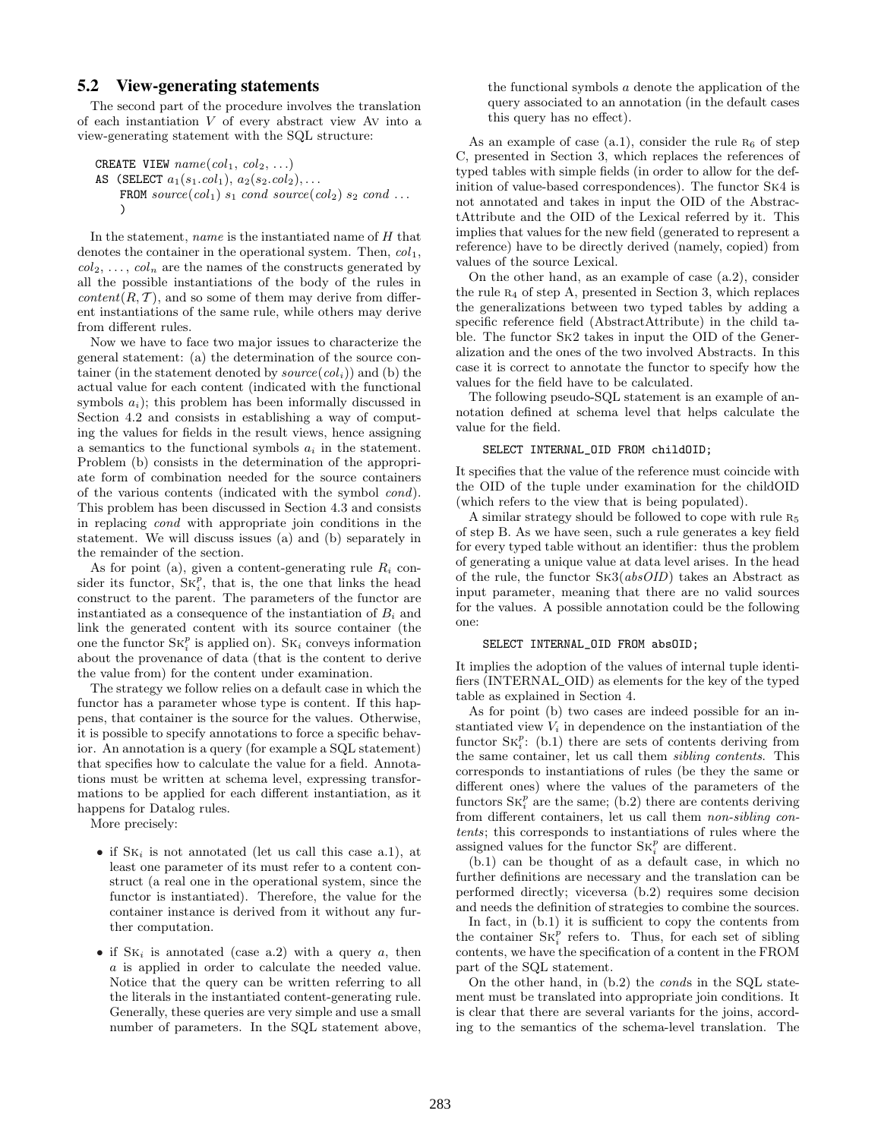## 5.2 View-generating statements

The second part of the procedure involves the translation of each instantiation V of every abstract view Av into a view-generating statement with the SQL structure:

```
CREATE VIEW name(col<sub>1</sub>, col<sub>2</sub>, ...)AS (SELECT a_1(s_1.col_1), a_2(s_2.col_2), \ldotsFROM source(col<sub>1</sub>) s_1 cond source(col<sub>2</sub>) s_2 cond ...
      )
```
In the statement, *name* is the instantiated name of  $H$  that denotes the container in the operational system. Then,  $col_1$ ,  $col_2, \ldots, col_n$  are the names of the constructs generated by all the possible instantiations of the body of the rules in  $content(R, T)$ , and so some of them may derive from different instantiations of the same rule, while others may derive from different rules.

Now we have to face two major issues to characterize the general statement: (a) the determination of the source container (in the statement denoted by  $source(col_i)$ ) and (b) the actual value for each content (indicated with the functional symbols  $a_i$ ); this problem has been informally discussed in Section 4.2 and consists in establishing a way of computing the values for fields in the result views, hence assigning a semantics to the functional symbols  $a_i$  in the statement. Problem (b) consists in the determination of the appropriate form of combination needed for the source containers of the various contents (indicated with the symbol cond). This problem has been discussed in Section 4.3 and consists in replacing cond with appropriate join conditions in the statement. We will discuss issues (a) and (b) separately in the remainder of the section.

As for point (a), given a content-generating rule  $R_i$  consider its functor,  $SK_i^p$ , that is, the one that links the head construct to the parent. The parameters of the functor are instantiated as a consequence of the instantiation of  $B_i$  and link the generated content with its source container (the one the functor  $\operatorname{Sk}_i^p$  is applied on).  $\operatorname{Sk}_i$  conveys information about the provenance of data (that is the content to derive the value from) for the content under examination.

The strategy we follow relies on a default case in which the functor has a parameter whose type is content. If this happens, that container is the source for the values. Otherwise, it is possible to specify annotations to force a specific behavior. An annotation is a query (for example a SQL statement) that specifies how to calculate the value for a field. Annotations must be written at schema level, expressing transformations to be applied for each different instantiation, as it happens for Datalog rules.

More precisely:

- if  $SK_i$  is not annotated (let us call this case a.1), at least one parameter of its must refer to a content construct (a real one in the operational system, since the functor is instantiated). Therefore, the value for the container instance is derived from it without any further computation.
- if  $SK_i$  is annotated (case a.2) with a query a, then a is applied in order to calculate the needed value. Notice that the query can be written referring to all the literals in the instantiated content-generating rule. Generally, these queries are very simple and use a small number of parameters. In the SQL statement above,

the functional symbols a denote the application of the query associated to an annotation (in the default cases this query has no effect).

As an example of case  $(a.1)$ , consider the rule  $R_6$  of step C, presented in Section 3, which replaces the references of typed tables with simple fields (in order to allow for the definition of value-based correspondences). The functor Sk4 is not annotated and takes in input the OID of the AbstractAttribute and the OID of the Lexical referred by it. This implies that values for the new field (generated to represent a reference) have to be directly derived (namely, copied) from values of the source Lexical.

On the other hand, as an example of case (a.2), consider the rule  $R_4$  of step A, presented in Section 3, which replaces the generalizations between two typed tables by adding a specific reference field (AbstractAttribute) in the child table. The functor Sk2 takes in input the OID of the Generalization and the ones of the two involved Abstracts. In this case it is correct to annotate the functor to specify how the values for the field have to be calculated.

The following pseudo-SQL statement is an example of annotation defined at schema level that helps calculate the value for the field.

#### SELECT INTERNAL\_OID FROM childOID;

It specifies that the value of the reference must coincide with the OID of the tuple under examination for the childOID (which refers to the view that is being populated).

A similar strategy should be followed to cope with rule  $R_5$ of step B. As we have seen, such a rule generates a key field for every typed table without an identifier: thus the problem of generating a unique value at data level arises. In the head of the rule, the functor Sk3(absOID) takes an Abstract as input parameter, meaning that there are no valid sources for the values. A possible annotation could be the following one:

#### SELECT INTERNAL\_OID FROM absOID;

It implies the adoption of the values of internal tuple identifiers (INTERNAL OID) as elements for the key of the typed table as explained in Section 4.

As for point (b) two cases are indeed possible for an instantiated view  $V_i$  in dependence on the instantiation of the functor  $\text{Sk}_i^p$ : (b.1) there are sets of contents deriving from the same container, let us call them sibling contents. This corresponds to instantiations of rules (be they the same or different ones) where the values of the parameters of the functors  $\text{SK}_i^p$  are the same; (b.2) there are contents deriving from different containers, let us call them non-sibling contents; this corresponds to instantiations of rules where the assigned values for the functor  $\mathbf{S}\mathbf{K}_i^p$  are different.

(b.1) can be thought of as a default case, in which no further definitions are necessary and the translation can be performed directly; viceversa (b.2) requires some decision and needs the definition of strategies to combine the sources.

In fact, in (b.1) it is sufficient to copy the contents from the container  $\text{SK}_i^p$  refers to. Thus, for each set of sibling contents, we have the specification of a content in the FROM part of the SQL statement.

On the other hand, in (b.2) the conds in the SQL statement must be translated into appropriate join conditions. It is clear that there are several variants for the joins, according to the semantics of the schema-level translation. The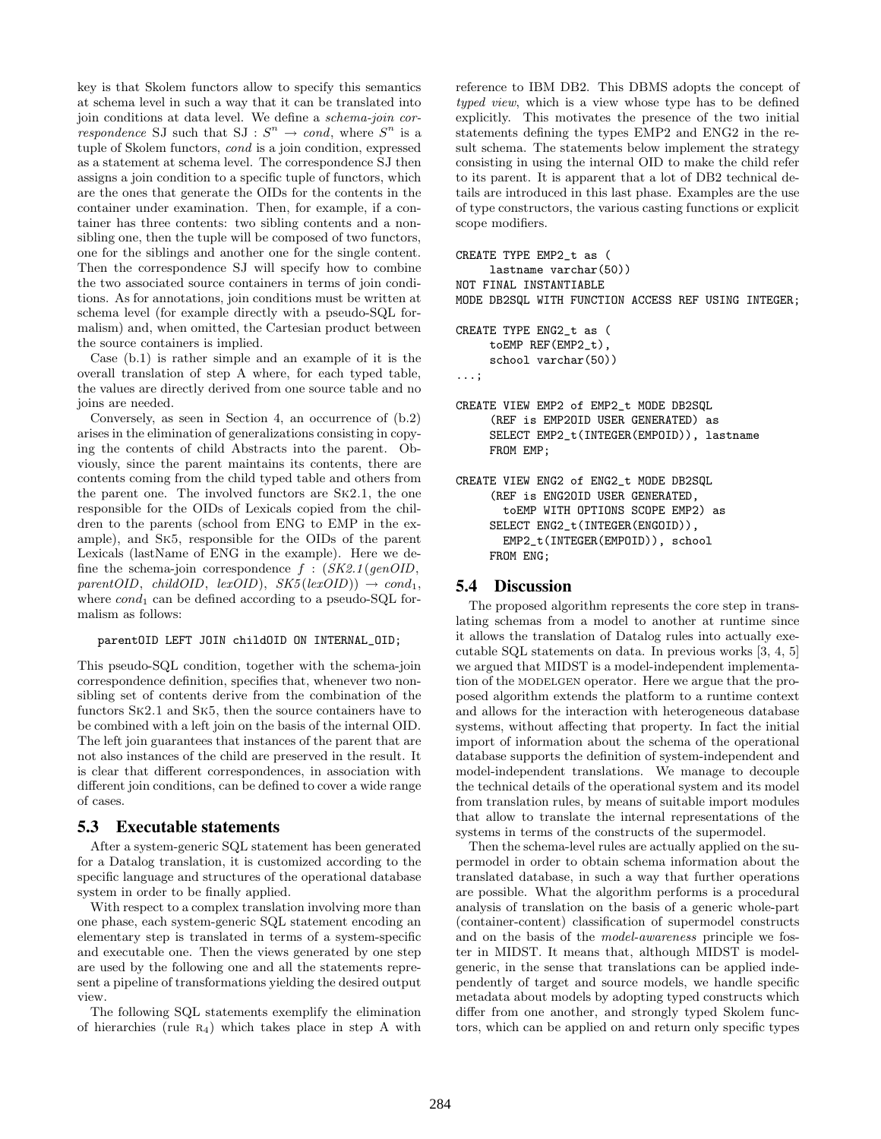key is that Skolem functors allow to specify this semantics at schema level in such a way that it can be translated into join conditions at data level. We define a schema-join correspondence SJ such that  $SJ : S^n \to cond$ , where  $S^n$  is a tuple of Skolem functors, cond is a join condition, expressed as a statement at schema level. The correspondence SJ then assigns a join condition to a specific tuple of functors, which are the ones that generate the OIDs for the contents in the container under examination. Then, for example, if a container has three contents: two sibling contents and a nonsibling one, then the tuple will be composed of two functors, one for the siblings and another one for the single content. Then the correspondence SJ will specify how to combine the two associated source containers in terms of join conditions. As for annotations, join conditions must be written at schema level (for example directly with a pseudo-SQL formalism) and, when omitted, the Cartesian product between the source containers is implied.

Case (b.1) is rather simple and an example of it is the overall translation of step A where, for each typed table, the values are directly derived from one source table and no joins are needed.

Conversely, as seen in Section 4, an occurrence of (b.2) arises in the elimination of generalizations consisting in copying the contents of child Abstracts into the parent. Obviously, since the parent maintains its contents, there are contents coming from the child typed table and others from the parent one. The involved functors are Sk2.1, the one responsible for the OIDs of Lexicals copied from the children to the parents (school from ENG to EMP in the example), and Sk5, responsible for the OIDs of the parent Lexicals (lastName of ENG in the example). Here we define the schema-join correspondence  $f : (SK2.1 (gen OID,$ parentOID, childOID, lexOID),  $SK5$  (lexOID))  $\rightarrow$  cond<sub>1</sub>, where  $cond_1$  can be defined according to a pseudo-SQL formalism as follows:

#### parentOID LEFT JOIN childOID ON INTERNAL\_OID;

This pseudo-SQL condition, together with the schema-join correspondence definition, specifies that, whenever two nonsibling set of contents derive from the combination of the functors Sk2.1 and Sk5, then the source containers have to be combined with a left join on the basis of the internal OID. The left join guarantees that instances of the parent that are not also instances of the child are preserved in the result. It is clear that different correspondences, in association with different join conditions, can be defined to cover a wide range of cases.

#### 5.3 Executable statements

After a system-generic SQL statement has been generated for a Datalog translation, it is customized according to the specific language and structures of the operational database system in order to be finally applied.

With respect to a complex translation involving more than one phase, each system-generic SQL statement encoding an elementary step is translated in terms of a system-specific and executable one. Then the views generated by one step are used by the following one and all the statements represent a pipeline of transformations yielding the desired output view.

The following SQL statements exemplify the elimination of hierarchies (rule  $R_4$ ) which takes place in step A with

reference to IBM DB2. This DBMS adopts the concept of typed view, which is a view whose type has to be defined explicitly. This motivates the presence of the two initial statements defining the types EMP2 and ENG2 in the result schema. The statements below implement the strategy consisting in using the internal OID to make the child refer to its parent. It is apparent that a lot of DB2 technical details are introduced in this last phase. Examples are the use of type constructors, the various casting functions or explicit scope modifiers.

CREATE TYPE EMP2\_t as (

lastname varchar(50)) NOT FINAL INSTANTIABLE

MODE DB2SQL WITH FUNCTION ACCESS REF USING INTEGER;

```
CREATE TYPE ENG2_t as (
     toEMP REF(EMP2_t),
     school varchar(50))
```
...;

CREATE VIEW EMP2 of EMP2\_t MODE DB2SQL (REF is EMP2OID USER GENERATED) as SELECT EMP2\_t(INTEGER(EMPOID)), lastname FROM EMP;

```
CREATE VIEW ENG2 of ENG2_t MODE DB2SQL
     (REF is ENG2OID USER GENERATED,
       toEMP WITH OPTIONS SCOPE EMP2) as
     SELECT ENG2_t(INTEGER(ENGOID)),
       EMP2_t(INTEGER(EMPOID)), school
     FROM ENG;
```
### 5.4 Discussion

The proposed algorithm represents the core step in translating schemas from a model to another at runtime since it allows the translation of Datalog rules into actually executable SQL statements on data. In previous works [3, 4, 5] we argued that MIDST is a model-independent implementation of the MODELGEN operator. Here we argue that the proposed algorithm extends the platform to a runtime context and allows for the interaction with heterogeneous database systems, without affecting that property. In fact the initial import of information about the schema of the operational database supports the definition of system-independent and model-independent translations. We manage to decouple the technical details of the operational system and its model from translation rules, by means of suitable import modules that allow to translate the internal representations of the systems in terms of the constructs of the supermodel.

Then the schema-level rules are actually applied on the supermodel in order to obtain schema information about the translated database, in such a way that further operations are possible. What the algorithm performs is a procedural analysis of translation on the basis of a generic whole-part (container-content) classification of supermodel constructs and on the basis of the model-awareness principle we foster in MIDST. It means that, although MIDST is modelgeneric, in the sense that translations can be applied independently of target and source models, we handle specific metadata about models by adopting typed constructs which differ from one another, and strongly typed Skolem functors, which can be applied on and return only specific types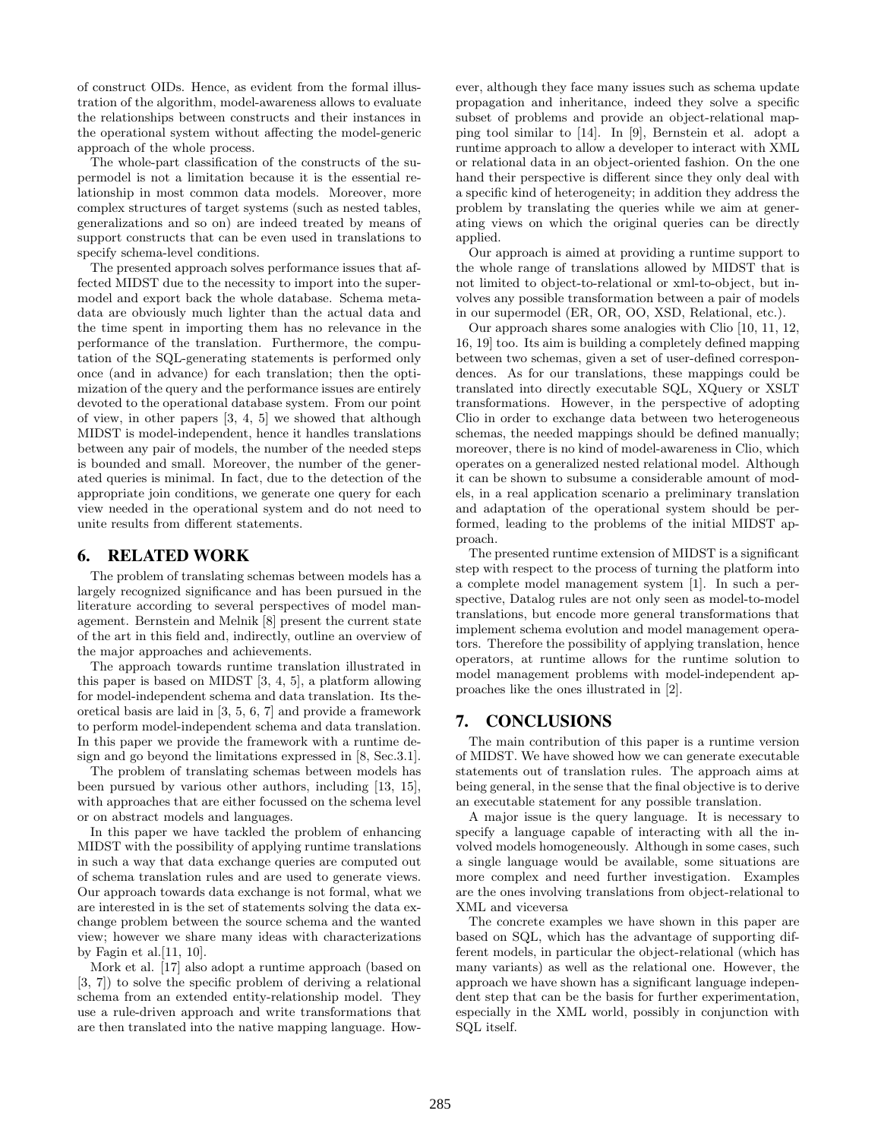of construct OIDs. Hence, as evident from the formal illustration of the algorithm, model-awareness allows to evaluate the relationships between constructs and their instances in the operational system without affecting the model-generic approach of the whole process.

The whole-part classification of the constructs of the supermodel is not a limitation because it is the essential relationship in most common data models. Moreover, more complex structures of target systems (such as nested tables, generalizations and so on) are indeed treated by means of support constructs that can be even used in translations to specify schema-level conditions.

The presented approach solves performance issues that affected MIDST due to the necessity to import into the supermodel and export back the whole database. Schema metadata are obviously much lighter than the actual data and the time spent in importing them has no relevance in the performance of the translation. Furthermore, the computation of the SQL-generating statements is performed only once (and in advance) for each translation; then the optimization of the query and the performance issues are entirely devoted to the operational database system. From our point of view, in other papers [3, 4, 5] we showed that although MIDST is model-independent, hence it handles translations between any pair of models, the number of the needed steps is bounded and small. Moreover, the number of the generated queries is minimal. In fact, due to the detection of the appropriate join conditions, we generate one query for each view needed in the operational system and do not need to unite results from different statements.

## 6. RELATED WORK

The problem of translating schemas between models has a largely recognized significance and has been pursued in the literature according to several perspectives of model management. Bernstein and Melnik [8] present the current state of the art in this field and, indirectly, outline an overview of the major approaches and achievements.

The approach towards runtime translation illustrated in this paper is based on MIDST [3, 4, 5], a platform allowing for model-independent schema and data translation. Its theoretical basis are laid in [3, 5, 6, 7] and provide a framework to perform model-independent schema and data translation. In this paper we provide the framework with a runtime design and go beyond the limitations expressed in [8, Sec.3.1].

The problem of translating schemas between models has been pursued by various other authors, including [13, 15], with approaches that are either focussed on the schema level or on abstract models and languages.

In this paper we have tackled the problem of enhancing MIDST with the possibility of applying runtime translations in such a way that data exchange queries are computed out of schema translation rules and are used to generate views. Our approach towards data exchange is not formal, what we are interested in is the set of statements solving the data exchange problem between the source schema and the wanted view; however we share many ideas with characterizations by Fagin et al.[11, 10].

Mork et al. [17] also adopt a runtime approach (based on [3, 7]) to solve the specific problem of deriving a relational schema from an extended entity-relationship model. They use a rule-driven approach and write transformations that are then translated into the native mapping language. However, although they face many issues such as schema update propagation and inheritance, indeed they solve a specific subset of problems and provide an object-relational mapping tool similar to [14]. In [9], Bernstein et al. adopt a runtime approach to allow a developer to interact with XML or relational data in an object-oriented fashion. On the one hand their perspective is different since they only deal with a specific kind of heterogeneity; in addition they address the problem by translating the queries while we aim at generating views on which the original queries can be directly applied.

Our approach is aimed at providing a runtime support to the whole range of translations allowed by MIDST that is not limited to object-to-relational or xml-to-object, but involves any possible transformation between a pair of models in our supermodel (ER, OR, OO, XSD, Relational, etc.).

Our approach shares some analogies with Clio [10, 11, 12, 16, 19] too. Its aim is building a completely defined mapping between two schemas, given a set of user-defined correspondences. As for our translations, these mappings could be translated into directly executable SQL, XQuery or XSLT transformations. However, in the perspective of adopting Clio in order to exchange data between two heterogeneous schemas, the needed mappings should be defined manually; moreover, there is no kind of model-awareness in Clio, which operates on a generalized nested relational model. Although it can be shown to subsume a considerable amount of models, in a real application scenario a preliminary translation and adaptation of the operational system should be performed, leading to the problems of the initial MIDST approach.

The presented runtime extension of MIDST is a significant step with respect to the process of turning the platform into a complete model management system [1]. In such a perspective, Datalog rules are not only seen as model-to-model translations, but encode more general transformations that implement schema evolution and model management operators. Therefore the possibility of applying translation, hence operators, at runtime allows for the runtime solution to model management problems with model-independent approaches like the ones illustrated in [2].

# 7. CONCLUSIONS

The main contribution of this paper is a runtime version of MIDST. We have showed how we can generate executable statements out of translation rules. The approach aims at being general, in the sense that the final objective is to derive an executable statement for any possible translation.

A major issue is the query language. It is necessary to specify a language capable of interacting with all the involved models homogeneously. Although in some cases, such a single language would be available, some situations are more complex and need further investigation. Examples are the ones involving translations from object-relational to XML and viceversa

The concrete examples we have shown in this paper are based on SQL, which has the advantage of supporting different models, in particular the object-relational (which has many variants) as well as the relational one. However, the approach we have shown has a significant language independent step that can be the basis for further experimentation, especially in the XML world, possibly in conjunction with SQL itself.